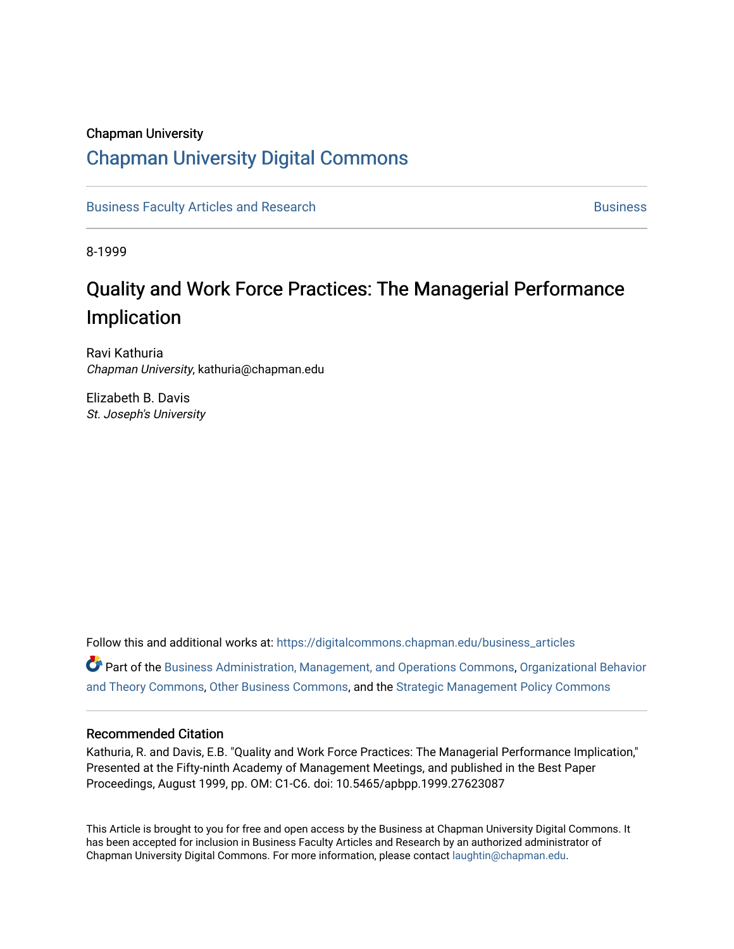# Chapman University

# [Chapman University Digital Commons](https://digitalcommons.chapman.edu/)

[Business Faculty Articles and Research](https://digitalcommons.chapman.edu/business_articles) [Business](https://digitalcommons.chapman.edu/business) **Business** Business

8-1999

# Quality and Work Force Practices: The Managerial Performance Implication

Ravi Kathuria Chapman University, kathuria@chapman.edu

Elizabeth B. Davis St. Joseph's University

Follow this and additional works at: [https://digitalcommons.chapman.edu/business\\_articles](https://digitalcommons.chapman.edu/business_articles?utm_source=digitalcommons.chapman.edu%2Fbusiness_articles%2F82&utm_medium=PDF&utm_campaign=PDFCoverPages)  Part of the [Business Administration, Management, and Operations Commons](http://network.bepress.com/hgg/discipline/623?utm_source=digitalcommons.chapman.edu%2Fbusiness_articles%2F82&utm_medium=PDF&utm_campaign=PDFCoverPages), [Organizational Behavior](http://network.bepress.com/hgg/discipline/639?utm_source=digitalcommons.chapman.edu%2Fbusiness_articles%2F82&utm_medium=PDF&utm_campaign=PDFCoverPages) [and Theory Commons](http://network.bepress.com/hgg/discipline/639?utm_source=digitalcommons.chapman.edu%2Fbusiness_articles%2F82&utm_medium=PDF&utm_campaign=PDFCoverPages), [Other Business Commons,](http://network.bepress.com/hgg/discipline/647?utm_source=digitalcommons.chapman.edu%2Fbusiness_articles%2F82&utm_medium=PDF&utm_campaign=PDFCoverPages) and the [Strategic Management Policy Commons](http://network.bepress.com/hgg/discipline/642?utm_source=digitalcommons.chapman.edu%2Fbusiness_articles%2F82&utm_medium=PDF&utm_campaign=PDFCoverPages) 

#### Recommended Citation

Kathuria, R. and Davis, E.B. "Quality and Work Force Practices: The Managerial Performance Implication," Presented at the Fifty-ninth Academy of Management Meetings, and published in the Best Paper Proceedings, August 1999, pp. OM: C1-C6. doi: 10.5465/apbpp.1999.27623087

This Article is brought to you for free and open access by the Business at Chapman University Digital Commons. It has been accepted for inclusion in Business Faculty Articles and Research by an authorized administrator of Chapman University Digital Commons. For more information, please contact [laughtin@chapman.edu](mailto:laughtin@chapman.edu).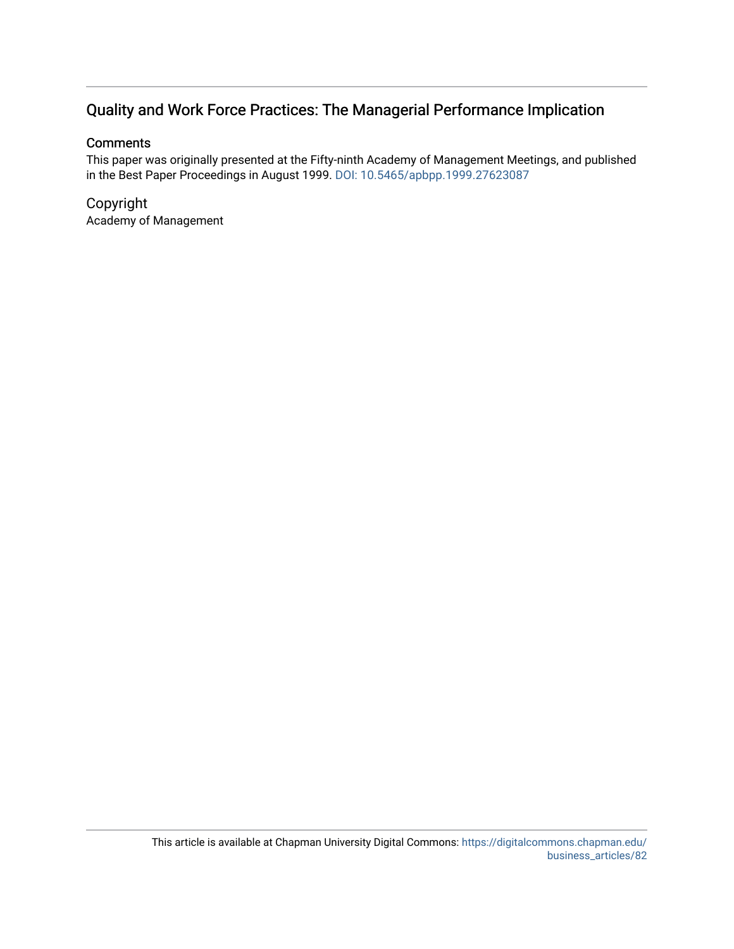# Quality and Work Force Practices: The Managerial Performance Implication

#### **Comments**

This paper was originally presented at the Fifty-ninth Academy of Management Meetings, and published in the Best Paper Proceedings in August 1999. [DOI: 10.5465/apbpp.1999.27623087](https://doi.org/10.5465/apbpp.1999.27623087) 

#### Copyright Academy of Management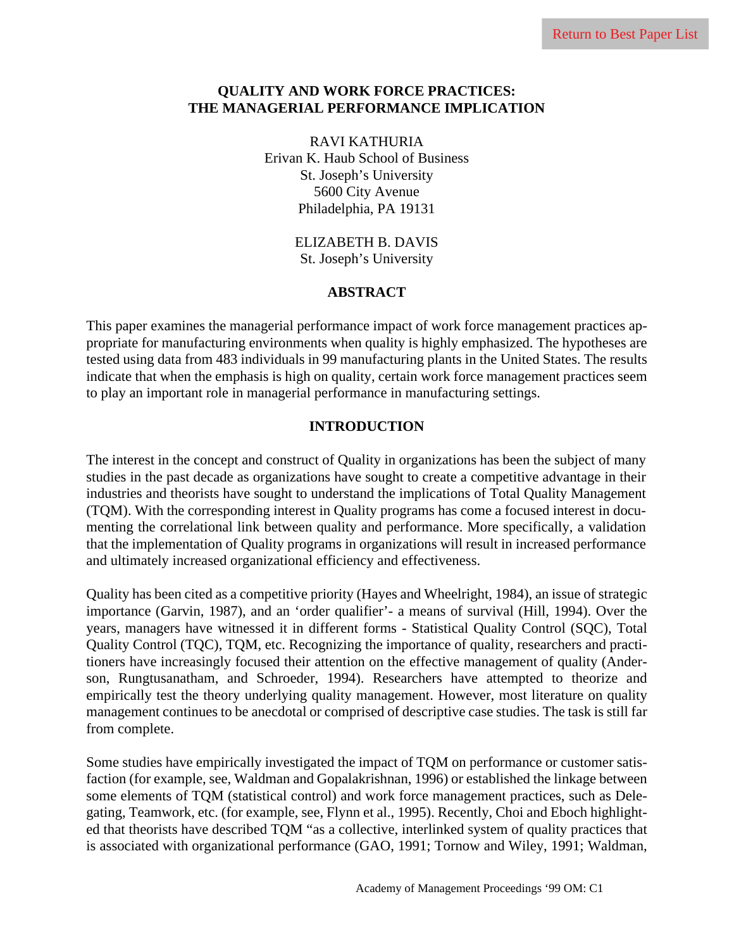#### **QUALITY AND WORK FORCE PRACTICES: THE MANAGERIAL PERFORMANCE IMPLICATION**

RAVI KATHURIA Erivan K. Haub School of Business St. Joseph's University 5600 City Avenue Philadelphia, PA 19131

> ELIZABETH B. DAVIS St. Joseph's University

#### **ABSTRACT**

This paper examines the managerial performance impact of work force management practices appropriate for manufacturing environments when quality is highly emphasized. The hypotheses are tested using data from 483 individuals in 99 manufacturing plants in the United States. The results indicate that when the emphasis is high on quality, certain work force management practices seem to play an important role in managerial performance in manufacturing settings.

#### **INTRODUCTION**

The interest in the concept and construct of Quality in organizations has been the subject of many studies in the past decade as organizations have sought to create a competitive advantage in their industries and theorists have sought to understand the implications of Total Quality Management (TQM). With the corresponding interest in Quality programs has come a focused interest in documenting the correlational link between quality and performance. More specifically, a validation that the implementation of Quality programs in organizations will result in increased performance and ultimately increased organizational efficiency and effectiveness.

Quality has been cited as a competitive priority (Hayes and Wheelright, 1984), an issue of strategic importance (Garvin, 1987), and an 'order qualifier'- a means of survival (Hill, 1994). Over the years, managers have witnessed it in different forms - Statistical Quality Control (SQC), Total Quality Control (TQC), TQM, etc. Recognizing the importance of quality, researchers and practitioners have increasingly focused their attention on the effective management of quality (Anderson, Rungtusanatham, and Schroeder, 1994). Researchers have attempted to theorize and empirically test the theory underlying quality management. However, most literature on quality management continues to be anecdotal or comprised of descriptive case studies. The task is still far from complete.

Some studies have empirically investigated the impact of TQM on performance or customer satisfaction (for example, see, Waldman and Gopalakrishnan, 1996) or established the linkage between some elements of TQM (statistical control) and work force management practices, such as Delegating, Teamwork, etc. (for example, see, Flynn et al., 1995). Recently, Choi and Eboch highlighted that theorists have described TQM "as a collective, interlinked system of quality practices that is associated with organizational performance (GAO, 1991; Tornow and Wiley, 1991; Waldman,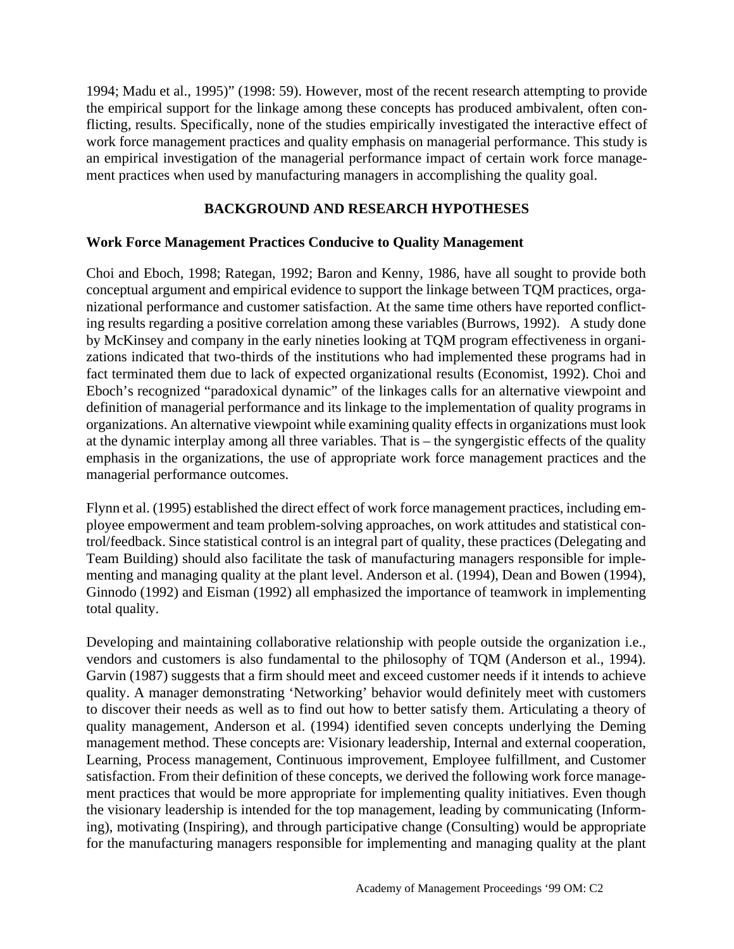1994; Madu et al., 1995)" (1998: 59). However, most of the recent research attempting to provide the empirical support for the linkage among these concepts has produced ambivalent, often conflicting, results. Specifically, none of the studies empirically investigated the interactive effect of work force management practices and quality emphasis on managerial performance. This study is an empirical investigation of the managerial performance impact of certain work force management practices when used by manufacturing managers in accomplishing the quality goal.

# **BACKGROUND AND RESEARCH HYPOTHESES**

#### **Work Force Management Practices Conducive to Quality Management**

Choi and Eboch, 1998; Rategan, 1992; Baron and Kenny, 1986, have all sought to provide both conceptual argument and empirical evidence to support the linkage between TQM practices, organizational performance and customer satisfaction. At the same time others have reported conflicting results regarding a positive correlation among these variables (Burrows, 1992). A study done by McKinsey and company in the early nineties looking at TQM program effectiveness in organizations indicated that two-thirds of the institutions who had implemented these programs had in fact terminated them due to lack of expected organizational results (Economist, 1992). Choi and Eboch's recognized "paradoxical dynamic" of the linkages calls for an alternative viewpoint and definition of managerial performance and its linkage to the implementation of quality programs in organizations. An alternative viewpoint while examining quality effects in organizations must look at the dynamic interplay among all three variables. That is – the syngergistic effects of the quality emphasis in the organizations, the use of appropriate work force management practices and the managerial performance outcomes.

Flynn et al. (1995) established the direct effect of work force management practices, including employee empowerment and team problem-solving approaches, on work attitudes and statistical control/feedback. Since statistical control is an integral part of quality, these practices (Delegating and Team Building) should also facilitate the task of manufacturing managers responsible for implementing and managing quality at the plant level. Anderson et al. (1994), Dean and Bowen (1994), Ginnodo (1992) and Eisman (1992) all emphasized the importance of teamwork in implementing total quality.

Developing and maintaining collaborative relationship with people outside the organization i.e., vendors and customers is also fundamental to the philosophy of TQM (Anderson et al., 1994). Garvin (1987) suggests that a firm should meet and exceed customer needs if it intends to achieve quality. A manager demonstrating 'Networking' behavior would definitely meet with customers to discover their needs as well as to find out how to better satisfy them. Articulating a theory of quality management, Anderson et al. (1994) identified seven concepts underlying the Deming management method. These concepts are: Visionary leadership, Internal and external cooperation, Learning, Process management, Continuous improvement, Employee fulfillment, and Customer satisfaction. From their definition of these concepts, we derived the following work force management practices that would be more appropriate for implementing quality initiatives. Even though the visionary leadership is intended for the top management, leading by communicating (Informing), motivating (Inspiring), and through participative change (Consulting) would be appropriate for the manufacturing managers responsible for implementing and managing quality at the plant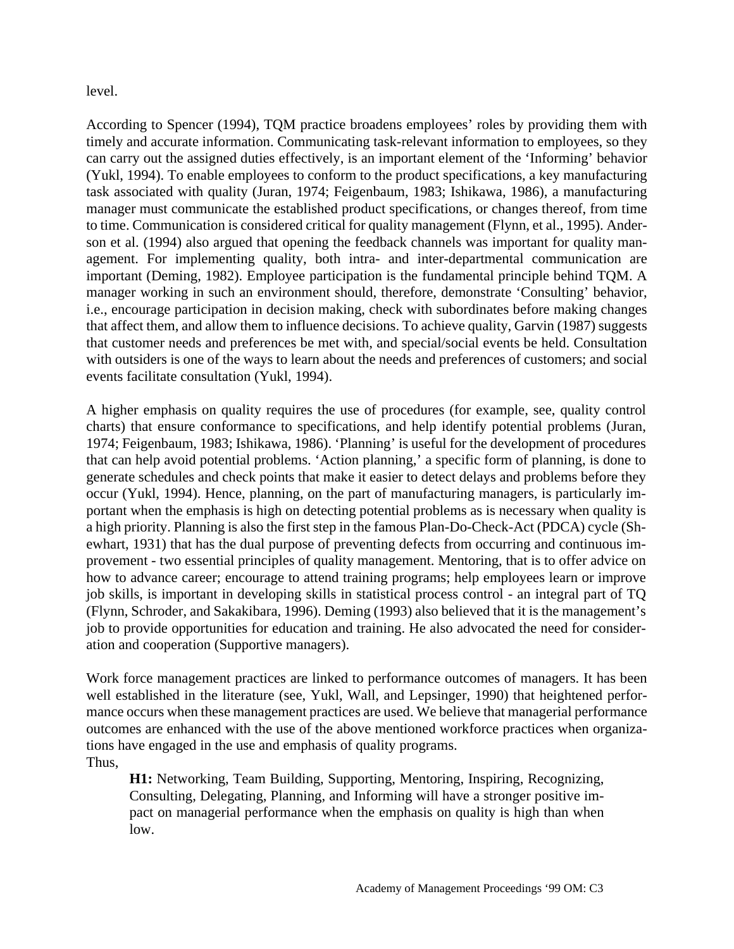level.

According to Spencer (1994), TQM practice broadens employees' roles by providing them with timely and accurate information. Communicating task-relevant information to employees, so they can carry out the assigned duties effectively, is an important element of the 'Informing' behavior (Yukl, 1994). To enable employees to conform to the product specifications, a key manufacturing task associated with quality (Juran, 1974; Feigenbaum, 1983; Ishikawa, 1986), a manufacturing manager must communicate the established product specifications, or changes thereof, from time to time. Communication is considered critical for quality management (Flynn, et al., 1995). Anderson et al. (1994) also argued that opening the feedback channels was important for quality management. For implementing quality, both intra- and inter-departmental communication are important (Deming, 1982). Employee participation is the fundamental principle behind TQM. A manager working in such an environment should, therefore, demonstrate 'Consulting' behavior, i.e., encourage participation in decision making, check with subordinates before making changes that affect them, and allow them to influence decisions. To achieve quality, Garvin (1987) suggests that customer needs and preferences be met with, and special/social events be held. Consultation with outsiders is one of the ways to learn about the needs and preferences of customers; and social events facilitate consultation (Yukl, 1994).

A higher emphasis on quality requires the use of procedures (for example, see, quality control charts) that ensure conformance to specifications, and help identify potential problems (Juran, 1974; Feigenbaum, 1983; Ishikawa, 1986). 'Planning' is useful for the development of procedures that can help avoid potential problems. 'Action planning,' a specific form of planning, is done to generate schedules and check points that make it easier to detect delays and problems before they occur (Yukl, 1994). Hence, planning, on the part of manufacturing managers, is particularly important when the emphasis is high on detecting potential problems as is necessary when quality is a high priority. Planning is also the first step in the famous Plan-Do-Check-Act (PDCA) cycle (Shewhart, 1931) that has the dual purpose of preventing defects from occurring and continuous improvement - two essential principles of quality management. Mentoring, that is to offer advice on how to advance career; encourage to attend training programs; help employees learn or improve job skills, is important in developing skills in statistical process control - an integral part of TQ (Flynn, Schroder, and Sakakibara, 1996). Deming (1993) also believed that it is the management's job to provide opportunities for education and training. He also advocated the need for consideration and cooperation (Supportive managers).

Work force management practices are linked to performance outcomes of managers. It has been well established in the literature (see, Yukl, Wall, and Lepsinger, 1990) that heightened performance occurs when these management practices are used. We believe that managerial performance outcomes are enhanced with the use of the above mentioned workforce practices when organizations have engaged in the use and emphasis of quality programs. Thus,

**H1:** Networking, Team Building, Supporting, Mentoring, Inspiring, Recognizing, Consulting, Delegating, Planning, and Informing will have a stronger positive impact on managerial performance when the emphasis on quality is high than when low.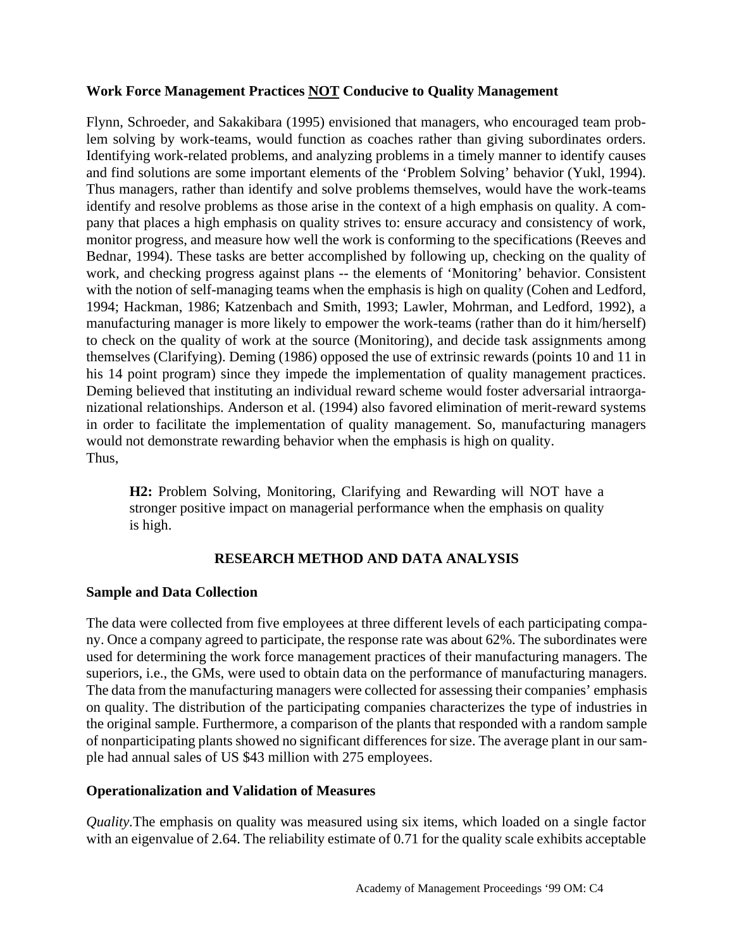# **Work Force Management Practices NOT Conducive to Quality Management**

Flynn, Schroeder, and Sakakibara (1995) envisioned that managers, who encouraged team problem solving by work-teams, would function as coaches rather than giving subordinates orders. Identifying work-related problems, and analyzing problems in a timely manner to identify causes and find solutions are some important elements of the 'Problem Solving' behavior (Yukl, 1994). Thus managers, rather than identify and solve problems themselves, would have the work-teams identify and resolve problems as those arise in the context of a high emphasis on quality. A company that places a high emphasis on quality strives to: ensure accuracy and consistency of work, monitor progress, and measure how well the work is conforming to the specifications (Reeves and Bednar, 1994). These tasks are better accomplished by following up, checking on the quality of work, and checking progress against plans -- the elements of 'Monitoring' behavior. Consistent with the notion of self-managing teams when the emphasis is high on quality (Cohen and Ledford, 1994; Hackman, 1986; Katzenbach and Smith, 1993; Lawler, Mohrman, and Ledford, 1992), a manufacturing manager is more likely to empower the work-teams (rather than do it him/herself) to check on the quality of work at the source (Monitoring), and decide task assignments among themselves (Clarifying). Deming (1986) opposed the use of extrinsic rewards (points 10 and 11 in his 14 point program) since they impede the implementation of quality management practices. Deming believed that instituting an individual reward scheme would foster adversarial intraorganizational relationships. Anderson et al. (1994) also favored elimination of merit-reward systems in order to facilitate the implementation of quality management. So, manufacturing managers would not demonstrate rewarding behavior when the emphasis is high on quality. Thus,

**H2:** Problem Solving, Monitoring, Clarifying and Rewarding will NOT have a stronger positive impact on managerial performance when the emphasis on quality is high.

# **RESEARCH METHOD AND DATA ANALYSIS**

# **Sample and Data Collection**

The data were collected from five employees at three different levels of each participating company. Once a company agreed to participate, the response rate was about 62%. The subordinates were used for determining the work force management practices of their manufacturing managers. The superiors, i.e., the GMs, were used to obtain data on the performance of manufacturing managers. The data from the manufacturing managers were collected for assessing their companies' emphasis on quality. The distribution of the participating companies characterizes the type of industries in the original sample. Furthermore, a comparison of the plants that responded with a random sample of nonparticipating plants showed no significant differences for size. The average plant in our sample had annual sales of US \$43 million with 275 employees.

# **Operationalization and Validation of Measures**

*Quality.*The emphasis on quality was measured using six items, which loaded on a single factor with an eigenvalue of 2.64. The reliability estimate of 0.71 for the quality scale exhibits acceptable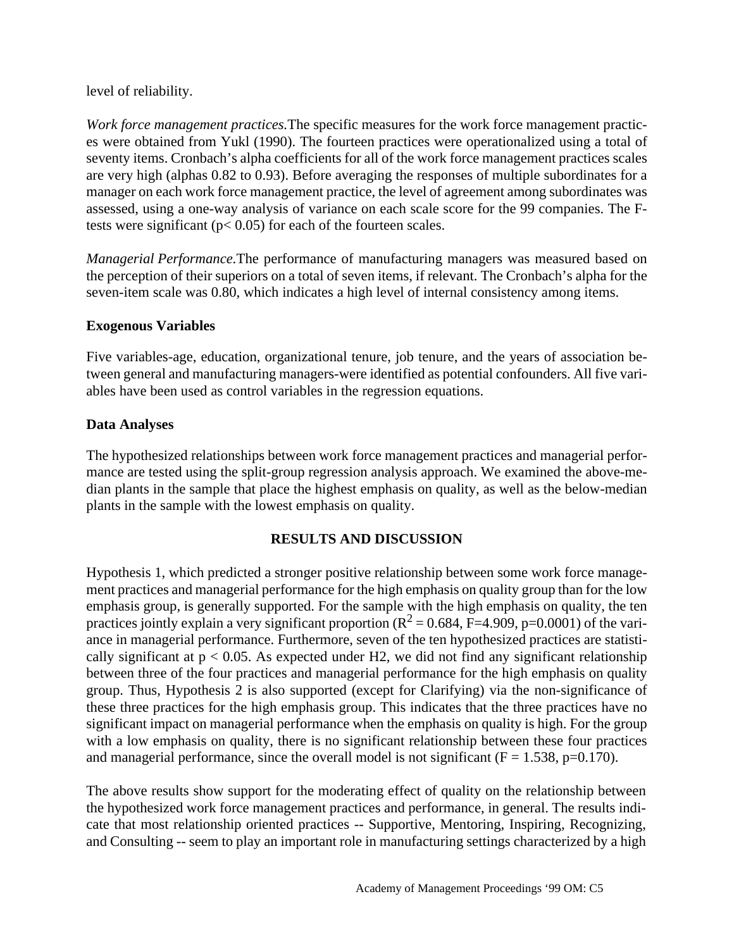level of reliability.

*Work force management practices.*The specific measures for the work force management practices were obtained from Yukl (1990). The fourteen practices were operationalized using a total of seventy items. Cronbach's alpha coefficients for all of the work force management practices scales are very high (alphas 0.82 to 0.93). Before averaging the responses of multiple subordinates for a manager on each work force management practice, the level of agreement among subordinates was assessed, using a one-way analysis of variance on each scale score for the 99 companies. The Ftests were significant ( $p < 0.05$ ) for each of the fourteen scales.

*Managerial Performance.*The performance of manufacturing managers was measured based on the perception of their superiors on a total of seven items, if relevant. The Cronbach's alpha for the seven-item scale was 0.80, which indicates a high level of internal consistency among items.

# **Exogenous Variables**

Five variables-age, education, organizational tenure, job tenure, and the years of association between general and manufacturing managers-were identified as potential confounders. All five variables have been used as control variables in the regression equations.

# **Data Analyses**

The hypothesized relationships between work force management practices and managerial performance are tested using the split-group regression analysis approach. We examined the above-median plants in the sample that place the highest emphasis on quality, as well as the below-median plants in the sample with the lowest emphasis on quality.

# **RESULTS AND DISCUSSION**

Hypothesis 1, which predicted a stronger positive relationship between some work force management practices and managerial performance for the high emphasis on quality group than for the low emphasis group, is generally supported. For the sample with the high emphasis on quality, the ten practices jointly explain a very significant proportion ( $R^2 = 0.684$ ,  $\overline{F} = 4.909$ , p=0.0001) of the variance in managerial performance. Furthermore, seven of the ten hypothesized practices are statistically significant at  $p < 0.05$ . As expected under H2, we did not find any significant relationship between three of the four practices and managerial performance for the high emphasis on quality group. Thus, Hypothesis 2 is also supported (except for Clarifying) via the non-significance of these three practices for the high emphasis group. This indicates that the three practices have no significant impact on managerial performance when the emphasis on quality is high. For the group with a low emphasis on quality, there is no significant relationship between these four practices and managerial performance, since the overall model is not significant  $(F = 1.538, p=0.170)$ .

The above results show support for the moderating effect of quality on the relationship between the hypothesized work force management practices and performance, in general. The results indicate that most relationship oriented practices -- Supportive, Mentoring, Inspiring, Recognizing, and Consulting -- seem to play an important role in manufacturing settings characterized by a high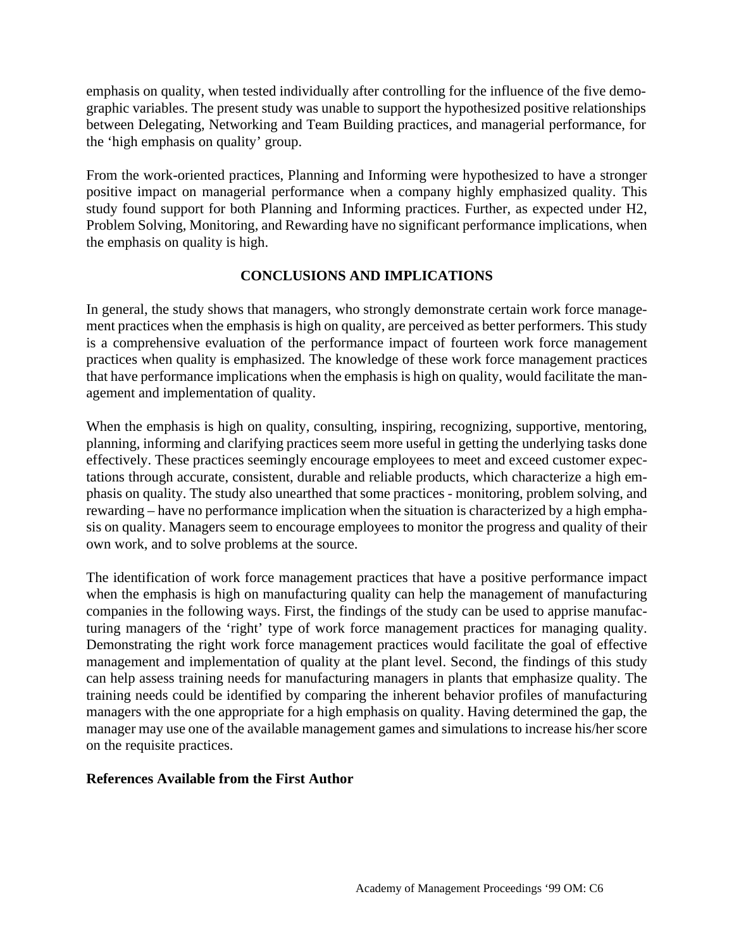emphasis on quality, when tested individually after controlling for the influence of the five demographic variables. The present study was unable to support the hypothesized positive relationships between Delegating, Networking and Team Building practices, and managerial performance, for the 'high emphasis on quality' group.

From the work-oriented practices, Planning and Informing were hypothesized to have a stronger positive impact on managerial performance when a company highly emphasized quality. This study found support for both Planning and Informing practices. Further, as expected under H2, Problem Solving, Monitoring, and Rewarding have no significant performance implications, when the emphasis on quality is high.

#### **CONCLUSIONS AND IMPLICATIONS**

In general, the study shows that managers, who strongly demonstrate certain work force management practices when the emphasis is high on quality, are perceived as better performers. This study is a comprehensive evaluation of the performance impact of fourteen work force management practices when quality is emphasized. The knowledge of these work force management practices that have performance implications when the emphasis is high on quality, would facilitate the management and implementation of quality.

When the emphasis is high on quality, consulting, inspiring, recognizing, supportive, mentoring, planning, informing and clarifying practices seem more useful in getting the underlying tasks done effectively. These practices seemingly encourage employees to meet and exceed customer expectations through accurate, consistent, durable and reliable products, which characterize a high emphasis on quality. The study also unearthed that some practices - monitoring, problem solving, and rewarding – have no performance implication when the situation is characterized by a high emphasis on quality. Managers seem to encourage employees to monitor the progress and quality of their own work, and to solve problems at the source.

The identification of work force management practices that have a positive performance impact when the emphasis is high on manufacturing quality can help the management of manufacturing companies in the following ways. First, the findings of the study can be used to apprise manufacturing managers of the 'right' type of work force management practices for managing quality. Demonstrating the right work force management practices would facilitate the goal of effective management and implementation of quality at the plant level. Second, the findings of this study can help assess training needs for manufacturing managers in plants that emphasize quality. The training needs could be identified by comparing the inherent behavior profiles of manufacturing managers with the one appropriate for a high emphasis on quality. Having determined the gap, the manager may use one of the available management games and simulations to increase his/her score on the requisite practices.

#### **References Available from the First Author**